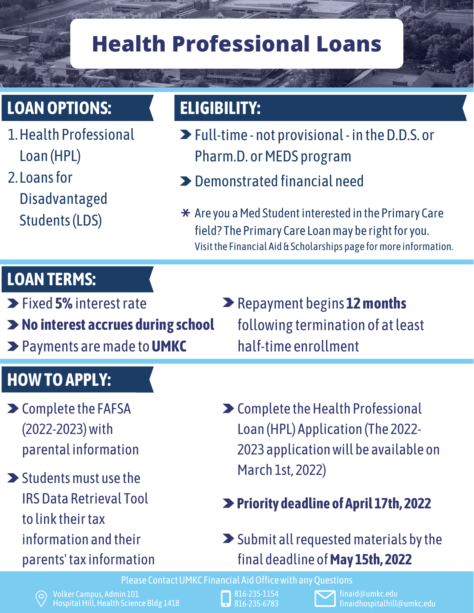# **Health Professional Loans**

## **LOANOPTIONS: ELIGIBILITY:**

- 1. Health Professional Loan (HPL)
- 2. Loans for Disadvantaged Students(LDS)

- Full-time not provisional in theD.D.S. or Pharm.D. or MEDS program
- Demonstrated financial need
- $\star$  Are you a Med Student interested in the Primary Care field? The Primary Care Loan may be right for you. Visit the Financial Aid & Scholarships page for more information.

#### **LOANTERMS:**

- Fixed **5%**interestrate
- **No interest accrues during school**
- Payments aremade to**UMKC**

#### **HOWTOAPPLY:**

- **>** Complete the [FAFSA](https://nam02.safelinks.protection.outlook.com/?url=https%3A%2F%2Fstudentaid.gov%2Fh%2Fapply-for-aid%2Ffafsa&data=04%7C01%7Cejldcx%40umkc.edu%7C87df15b9e87549a08fb908d9ea8283fa%7Ce3fefdbef7e9401ba51a355e01b05a89%7C0%7C0%7C637798668544760356%7CUnknown%7CTWFpbGZsb3d8eyJWIjoiMC4wLjAwMDAiLCJQIjoiV2luMzIiLCJBTiI6Ik1haWwiLCJXVCI6Mn0%3D%7C3000&sdata=%2F7QIyYp%2BM8ILnRbiauWe0ok%2Fp%2BQk8FtoPqvUwi%2BM%2BlM%3D&reserved=0) (2022-2023)with parental information
- $\blacktriangleright$  Students must use the IRSData [Retrieval](https://nam02.safelinks.protection.outlook.com/?url=https%3A%2F%2Fstudentaid.gov%2Fapply-for-aid%2Ffafsa%2Ffilling-out%23irs-drt&data=04%7C01%7Cejldcx%40umkc.edu%7C87df15b9e87549a08fb908d9ea8283fa%7Ce3fefdbef7e9401ba51a355e01b05a89%7C0%7C0%7C637798668544760356%7CUnknown%7CTWFpbGZsb3d8eyJWIjoiMC4wLjAwMDAiLCJQIjoiV2luMzIiLCJBTiI6Ik1haWwiLCJXVCI6Mn0%3D%7C3000&sdata=GGucK%2Fh4LJrU1CCgkFBHo5t8kt%2F6PDjgU%2BCiVYxqavs%3D&reserved=0) Tool to link their tax information and their parents'tax information
- Repayment begins **12months** following termination of atleast half-time enrollment
- > Complete the Health Professional Loan (HPL) Application (The 2022- 2023 applicationwill be available on March 1st, 2022)
- **Priority deadline of April 17th, 2022**
- $\blacktriangleright$  Submit all requested materials by the final deadline of**May 15th, 2022**

Please Contact UMKC Financial Aid Office with any Questions

- 816-235-1154 816-235-6783
-